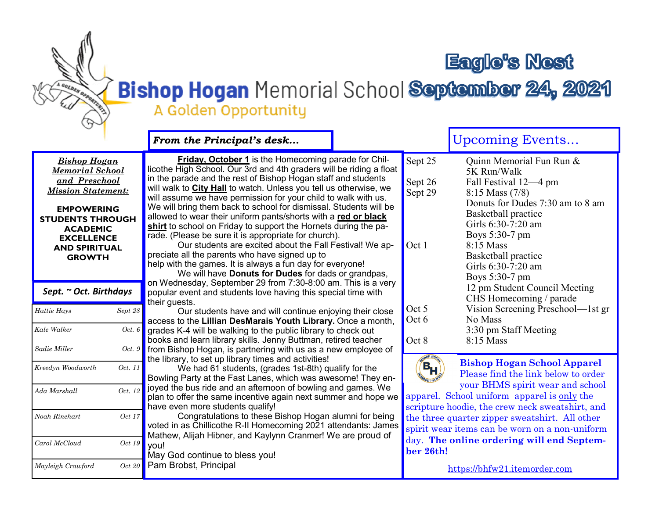## **Eagle's Nest**

## Bishop Hogan Memorial School September 24, 2021 A Golden Opportunity

## Upcoming Events... *From the Principal's desk...* **Friday, October 1** is the Homecoming parade for Chil-Sept 25 Ouinn Memorial Fun Run & *Bishop Hogan*  licothe High School. Our 3rd and 4th graders will be riding a float *Memorial School*  5K Run/Walk in the parade and the rest of Bishop Hogan staff and students *and Preschool*  Sept 26 Fall Festival 12—4 pm<br>Sept 29 8:15 Mass (7/8) will walk to **City Hall** to watch. Unless you tell us otherwise, we *Mission Statement:*  $8:15$  Mass (7/8) will assume we have permission for your child to walk with us. Donuts for Dudes 7:30 am to 8 am We will bring them back to school for dismissal. Students will be **EMPOWERING**  Basketball practice allowed to wear their uniform pants/shorts with a **red or black STUDENTS THROUGH**  Girls 6:30-7:20 am **shirt** to school on Friday to support the Hornets during the pa-**ACADEMIC**  Boys 5:30-7 pm rade. (Please be sure it is appropriate for church). **EXCELLENCE**  Our students are excited about the Fall Festival! We ap-Oct 1  $8:15$  Mass **AND SPIRITUAL**  preciate all the parents who have signed up to Basketball practice **GROWTH** help with the games. It is always a fun day for everyone! Girls 6:30-7:20 am We will have **Donuts for Dudes** for dads or grandpas, Boys 5:30-7 pm on Wednesday, September 29 from 7:30-8:00 am. This is a very 12 pm Student Council Meeting *Sept. ~ Oct. Birthdays* popular event and students love having this special time with CHS Homecoming / parade their guests. Oct 5 Vision Screening Preschool—1st gr *Hattie Hays Sept 28* Our students have and will continue enjoying their close Oct 6 No Mass access to the **Lillian DesMarais Youth Library.** Once a month, grades K-4 will be walking to the public library to check out *Kale Walker Oct. 6* 3:30 pm Staff Meeting School books and learn library skills. Jenny Buttman, retired teacher  $Oct 8 8:15 Mass$ books and foarmibitary skille. Somry Battman, four od teacher<br>from Bishop Hogan, is partnering with us as a new employee of *Sadie Miller Oct. 9* **Frogan, is partnering with as as a new**  $\alpha$ the library, to set up library times and activities! **Bishop Hogan School Apparel**   $(\mathsf{B}_{\mathsf{H}})$ *Kreedyn Woodworth Oct. 11* We had 61 students, (grades 1st-8th) qualify for the  $\frac{1}{2}$ au v $\frac{1}{2}$  students, Please find the link below to order Bowling Party at the Fast Lanes, which was awesome! They enyour BHMS spirit wear and school joyed the bus ride and an afternoon of bowling and games. We *Ada Marshall Oct. 12* apparel. School uniform apparel is only the plan to offer the same incentive again next summer and hope we have even more students qualify! scripture hoodie, the crew neck sweatshirt, and Congratulations to these Bishop Hogan alumni for being *Noah Rinehart Oct 17* the three quarter zipper sweatshirt. All other voted in as Chillicothe R-II Homecoming 2021 attendants: James spirit wear items can be worn on a non-uniform Mathew, Alijah Hibner, and Kaylynn Cranmer! We are proud of day. **The online ordering will end Septem-***Carol McCloud Oct 19* you! **ber 26th!** May God continue to bless you! Pam Brobst, Principal *Mayleigh Crawford Oct 20*

[https://bhfw21.itemorder.com](https://bhfw21.itemorder.com/)